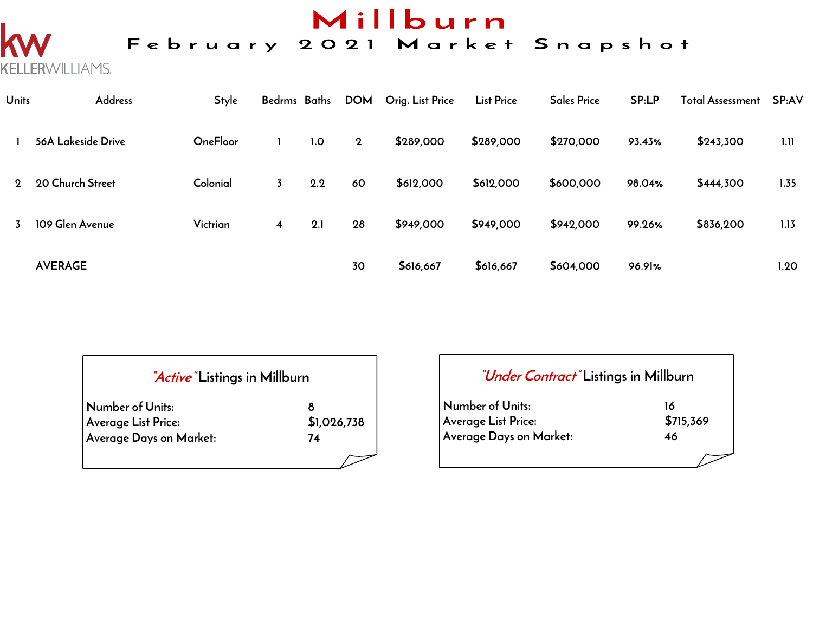## Millburn

#### February 2021 Market Snapshot

**Units Address Style Bedrms Baths DOM Orig. List Price List Price Sales Price SP:LP Total Assessment SP:AV 1 56A Lakeside Drive OneFloor 1 1.0 2 \$289,000 \$289,000 \$270,000 93.43% \$243,300 1.11 2 20 Church Street Colonial 3 2.2 60 \$612,000 \$612,000 \$600,000 98.04% \$444,300 1.35 3 109 Glen Avenue Victrian 4 2.1 28 \$949,000 \$949,000 \$942,000 99.26% \$836,200 1.13 AVERAGE 30 \$616,667 \$616,667 \$604,000 96.91% 1.20**

| <i>Active</i> Listings in Millburn |             |  |  |  |  |  |
|------------------------------------|-------------|--|--|--|--|--|
| Number of Units:                   |             |  |  |  |  |  |
| <b>Average List Price:</b>         | \$1,026,738 |  |  |  |  |  |
| Average Days on Market:            | 74          |  |  |  |  |  |
|                                    |             |  |  |  |  |  |

KELLERWILLIAMS.

#### **"Under Contract" Listings in Millburn**

| Number of Units:        | 16        |
|-------------------------|-----------|
| Average List Price:     | \$715,369 |
| Average Days on Market: | 46        |
|                         |           |